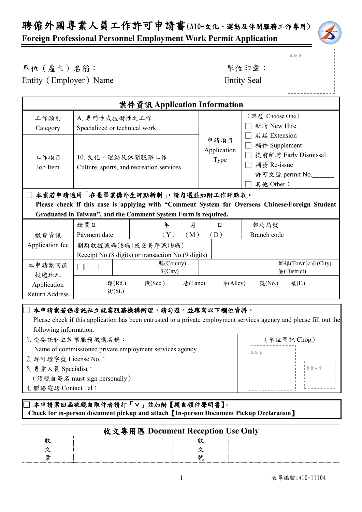## 聘僱外國專業人員工作許可申請書(A10-文化、運動及休閒服務工作專用)

#### **Foreign Professional Personnel Employment Work Permit Application**

單位章

#### 單位(雇主)名稱: 第四章: 李位印章: 第一

Entity (Employer) Name Entity Seal

| 案件資訊 Application Information                                                                                                                                      |                                                              |                                                                                                                                                          |                                |                                                           |                                         |
|-------------------------------------------------------------------------------------------------------------------------------------------------------------------|--------------------------------------------------------------|----------------------------------------------------------------------------------------------------------------------------------------------------------|--------------------------------|-----------------------------------------------------------|-----------------------------------------|
| 工作類別<br>Category                                                                                                                                                  | A. 專門性或技術性之工作<br>Specialized or technical work               |                                                                                                                                                          | (單選 Choose One)<br>新聘 New Hire |                                                           |                                         |
| 工作項目<br>Job Item                                                                                                                                                  | 10. 文化、運動及休閒服務工作<br>Culture, sports, and recreation services |                                                                                                                                                          | 申請項目<br>Application<br>Type    | 展延 Extension<br>補件 Supplement<br>補發 Re-issue<br>其他 Other: | 提前解聘 Early Dismissal<br>許可文號 permit No. |
|                                                                                                                                                                   | 本案若申請適用「在臺畢業僑外生評點新制」,請勾選並加附工作評點表。                            |                                                                                                                                                          |                                |                                                           |                                         |
| Please check if this case is applying with "Comment System for Overseas Chinese/Foreign Student<br>Graduated in Taiwan", and the Comment System Form is required. |                                                              |                                                                                                                                                          |                                |                                                           |                                         |
|                                                                                                                                                                   |                                                              |                                                                                                                                                          |                                |                                                           |                                         |
|                                                                                                                                                                   | 繳費日                                                          | 年<br>月                                                                                                                                                   | 日                              | 郵局局號                                                      |                                         |
| 繳費資訊                                                                                                                                                              | Payment date                                                 | (Y)<br>(M)                                                                                                                                               | (D)                            | Branch code                                               |                                         |
| Application fee                                                                                                                                                   |                                                              | 劃撥收據號碼(8碼)或交易序號(9碼)                                                                                                                                      |                                |                                                           |                                         |
|                                                                                                                                                                   |                                                              | Receipt No.(8 digits) or transaction No.(9 digits)                                                                                                       |                                |                                                           |                                         |
| 本申請案回函<br>投遞地址                                                                                                                                                    |                                                              | 縣(County)<br>市(City)                                                                                                                                     |                                |                                                           | 鄉鎮(Town)/市(City)<br>E(District)         |
| Application<br><b>Return Address</b>                                                                                                                              | 路(Rd.)<br>街(St.)                                             | 段(Sec.)<br>巷(Lane)                                                                                                                                       | $#($ Alley $)$                 | 號(No.)                                                    | 樓(F.)                                   |
| following information.                                                                                                                                            |                                                              | 本申請案若係委託私立就業服務機構辦理,請勾選,並填寫以下欄位資料。<br>Please check if this application has been entrusted to a private employment services agency and please fill out the |                                |                                                           |                                         |

| 1. 受委託私立就業服務機構名稱:                                       | (單位圖記 Chop) |
|---------------------------------------------------------|-------------|
| Name of commissioned private employment services agency | 單位章         |
| 2. 許可證字號 License No.:                                   |             |
| 3. 專業人員 Specialist:                                     | ■ 負責人章      |
| (須親自簽名 must sign personally)                            |             |
| 4. 聯絡電話 Contact Tel:                                    |             |

#### □ 本申請案回函欲親自取件者請打「∨」並加附【親自領件聲明書】。  **Check for in-person document pickup and attach**【**In-person Document Pickup Declaration**】

| 收文專用區 Document Reception Use Only |  |
|-----------------------------------|--|
|                                   |  |
|                                   |  |
|                                   |  |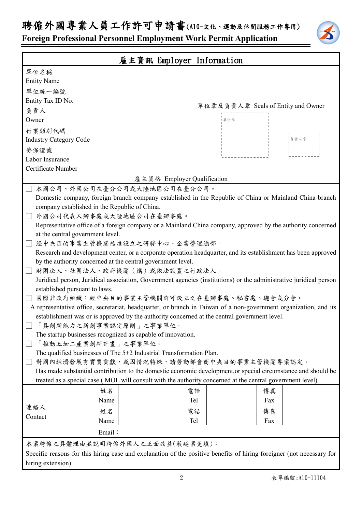### 聘僱外國專業人員工作許可申請書(A10-文化、運動及休閒服務工作專用)

**Foreign Professional Personnel Employment Work Permit Application**

|                                                             |                                                                                                                    | 雇主資訊 Employer Information                                                                                             |                                    |     |      |
|-------------------------------------------------------------|--------------------------------------------------------------------------------------------------------------------|-----------------------------------------------------------------------------------------------------------------------|------------------------------------|-----|------|
| 單位名稱                                                        |                                                                                                                    |                                                                                                                       |                                    |     |      |
| <b>Entity Name</b>                                          |                                                                                                                    |                                                                                                                       |                                    |     |      |
| 單位統一編號                                                      |                                                                                                                    |                                                                                                                       |                                    |     |      |
| Entity Tax ID No.                                           |                                                                                                                    |                                                                                                                       |                                    |     |      |
| 負責人                                                         |                                                                                                                    |                                                                                                                       | 單位章及負責人章 Seals of Entity and Owner |     |      |
| Owner                                                       |                                                                                                                    |                                                                                                                       | 單位章                                |     |      |
| 行業類別代碼                                                      |                                                                                                                    |                                                                                                                       |                                    |     |      |
| <b>Industry Category Code</b>                               |                                                                                                                    |                                                                                                                       |                                    |     | 負責人章 |
| 勞保證號                                                        |                                                                                                                    |                                                                                                                       |                                    |     |      |
| Labor Insurance                                             |                                                                                                                    |                                                                                                                       |                                    |     |      |
| Certificate Number                                          |                                                                                                                    |                                                                                                                       |                                    |     |      |
|                                                             |                                                                                                                    | 雇主資格 Employer Qualification                                                                                           |                                    |     |      |
|                                                             |                                                                                                                    | 本國公司、外國公司在臺分公司或大陸地區公司在臺分公司。                                                                                           |                                    |     |      |
|                                                             |                                                                                                                    | Domestic company, foreign branch company established in the Republic of China or Mainland China branch                |                                    |     |      |
| company established in the Republic of China.               |                                                                                                                    |                                                                                                                       |                                    |     |      |
|                                                             |                                                                                                                    | 外國公司代表人辦事處或大陸地區公司在臺辦事處。                                                                                               |                                    |     |      |
|                                                             |                                                                                                                    | Representative office of a foreign company or a Mainland China company, approved by the authority concerned           |                                    |     |      |
| at the central government level.                            |                                                                                                                    |                                                                                                                       |                                    |     |      |
|                                                             |                                                                                                                    | 經中央目的事業主管機關核准設立之研發中心、企業營運總部。                                                                                          |                                    |     |      |
|                                                             |                                                                                                                    | Research and development center, or a corporate operation headquarter, and its establishment has been approved        |                                    |     |      |
| by the authority concerned at the central government level. |                                                                                                                    |                                                                                                                       |                                    |     |      |
| 財團法人、社團法人、政府機關(構)或依法設置之行政法人。                                |                                                                                                                    |                                                                                                                       |                                    |     |      |
|                                                             | Juridical person, Juridical association, Government agencies (institutions) or the administrative juridical person |                                                                                                                       |                                    |     |      |
| established pursuant to laws.                               |                                                                                                                    |                                                                                                                       |                                    |     |      |
|                                                             |                                                                                                                    | 國際非政府組織︰經中央目的事業主管機關許可設立之在臺辦事處、秘書處、總會或分會。                                                                              |                                    |     |      |
|                                                             |                                                                                                                    | A representative office, secretariat, headquarter, or branch in Taiwan of a non-government organization, and its      |                                    |     |      |
|                                                             |                                                                                                                    | establishment was or is approved by the authority concerned at the central government level.                          |                                    |     |      |
| □「具創新能力之新創事業認定原則」之事業單位。                                     |                                                                                                                    |                                                                                                                       |                                    |     |      |
|                                                             |                                                                                                                    | The startup businesses recognized as capable of innovation.                                                           |                                    |     |      |
| 「推動五加二產業創新計畫」之事業單位。                                         |                                                                                                                    |                                                                                                                       |                                    |     |      |
|                                                             |                                                                                                                    | The qualified businesses of The 5+2 Industrial Transformation Plan.                                                   |                                    |     |      |
|                                                             |                                                                                                                    | 對國內經濟發展有實質貢獻,或因情況特殊,請勞動部會商中央目的事業主管機關專案認定。                                                                             |                                    |     |      |
|                                                             |                                                                                                                    | Has made substantial contribution to the domestic economic development, or special circumstance and should be         |                                    |     |      |
|                                                             |                                                                                                                    | treated as a special case (MOL will consult with the authority concerned at the central government level).            |                                    |     |      |
|                                                             | 姓名                                                                                                                 |                                                                                                                       | 電話                                 | 傳真  |      |
|                                                             | Name                                                                                                               |                                                                                                                       | Tel                                | Fax |      |
| 連絡人                                                         | 姓名                                                                                                                 |                                                                                                                       | 電話                                 | 傳真  |      |
| Contact                                                     | Name                                                                                                               |                                                                                                                       | Tel                                | Fax |      |
|                                                             | Email:                                                                                                             |                                                                                                                       |                                    |     |      |
|                                                             |                                                                                                                    |                                                                                                                       |                                    |     |      |
|                                                             |                                                                                                                    | 本案聘僱之具體理由並說明聘僱外國人之正面效益(展延案免填):                                                                                        |                                    |     |      |
|                                                             |                                                                                                                    | Specific reasons for this hiring case and explanation of the positive benefits of hiring foreigner (not necessary for |                                    |     |      |
| hiring extension):                                          |                                                                                                                    |                                                                                                                       |                                    |     |      |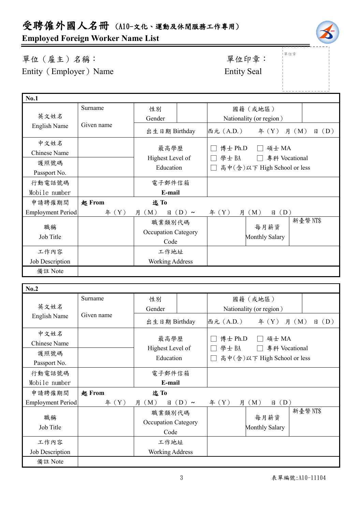# 受聘僱外國人名冊 (A10-文化、運動及休閒服務工作專用)

#### **Employed Foreign Worker Name List**

#### 單位(雇主)名稱: 第四章: 李位印章: 第一 Entity (Employer) Name Entity Seal

|<br>|單位章

| <b>No.1</b>              |            |                            |            |              |                             |                   |
|--------------------------|------------|----------------------------|------------|--------------|-----------------------------|-------------------|
|                          | Surname    | 性別                         |            |              | 國籍(或地區)                     |                   |
| 英文姓名                     |            | Gender                     |            |              | Nationality (or region)     |                   |
| English Name             | Given name | 出生日期 Birthday              |            | 西元 (A.D.)    | 年 $(Y)$                     | (D)<br>月 (M)<br>日 |
| 中文姓名                     |            |                            |            |              |                             |                   |
| Chinese Name             |            | 最高學歷                       |            | 博士 Ph.D      | 碩士 MA                       |                   |
| 護照號碼                     |            | Highest Level of           |            | 學士BA         | 專科 Vocational               |                   |
| Passport No.             |            | Education                  |            |              | 高中(含)以下 High School or less |                   |
| 行動電話號碼                   |            | 電子郵件信箱                     |            |              |                             |                   |
| Mobile number            |            | E-mail                     |            |              |                             |                   |
| 申請聘僱期間                   | 起 From     | 迄To                        |            |              |                             |                   |
| <b>Employment Period</b> | 年 (Y)      | (M)<br>月<br>日              | $(D) \sim$ | 年 $(Y)$<br>月 | (M)<br>(D)<br>日             |                   |
| 職稱                       |            | 職業類別代碼                     |            |              | 每月薪資                        | 新臺幣 NT\$          |
| Job Title                |            | <b>Occupation Category</b> |            |              |                             |                   |
|                          |            | Code                       |            |              | <b>Monthly Salary</b>       |                   |
| 工作內容                     |            | 工作地址                       |            |              |                             |                   |
| Job Description          |            | <b>Working Address</b>     |            |              |                             |                   |
| 備註 Note                  |            |                            |            |              |                             |                   |
|                          |            |                            |            |              |                             |                   |

| No.2                     |            |                               |                                                    |
|--------------------------|------------|-------------------------------|----------------------------------------------------|
|                          | Surname    | 性別                            | 國籍(或地區)                                            |
| 英文姓名                     |            | Gender                        | Nationality (or region)                            |
| English Name             | Given name | 出生日期 Birthday                 | 西元 (A.D.)<br>$\text{4}(Y)$ 月 (M)<br>$\boxplus$ (D) |
| 中文姓名                     |            |                               | 博士 Ph.D<br>碩士 MA                                   |
| Chinese Name             |            | 最高學歷                          |                                                    |
| 護照號碼                     |            | Highest Level of              | 專科 Vocational<br>學士BA                              |
| Passport No.             |            | Education                     | 高中(含)以下 High School or less                        |
| 行動電話號碼                   |            | 電子郵件信箱                        |                                                    |
| Mobile number            |            | E-mail                        |                                                    |
|                          |            |                               |                                                    |
| 申請聘僱期間                   | 起 From     | 迄To                           |                                                    |
| <b>Employment Period</b> | # (Y)      | (M)<br>$\boxminus$ (D) ~<br>月 | $\boxplus$ (D)<br>f(X)<br>月<br>(M)                 |
|                          |            | 職業類別代碼                        | 新臺幣NT\$                                            |
| 職稱                       |            | <b>Occupation Category</b>    | 每月薪資                                               |
| Job Title                |            | Code                          | <b>Monthly Salary</b>                              |
| 工作內容                     |            | 工作地址                          |                                                    |
| Job Description          |            | <b>Working Address</b>        |                                                    |
| 備註 Note                  |            |                               |                                                    |

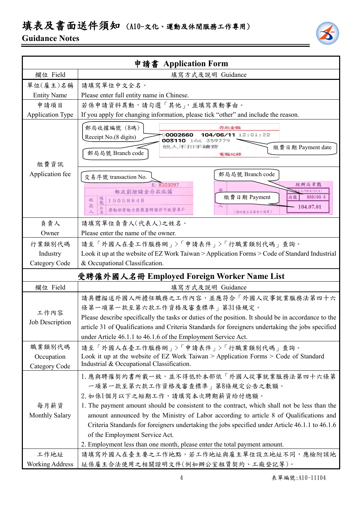## 填表及書面送件須知 (A10-文化、運動及休閒服務工作專用)

#### **Guidance Notes**



|                                            | 申請書 Application Form                                                                                                                                                                                                                                                                                                                                                                                        |  |  |
|--------------------------------------------|-------------------------------------------------------------------------------------------------------------------------------------------------------------------------------------------------------------------------------------------------------------------------------------------------------------------------------------------------------------------------------------------------------------|--|--|
| 欄位 Field                                   | 填寫方式及說明 Guidance                                                                                                                                                                                                                                                                                                                                                                                            |  |  |
| 單位(雇主)名稱                                   | 請填寫單位中文全名。                                                                                                                                                                                                                                                                                                                                                                                                  |  |  |
| <b>Entity Name</b>                         | Please enter full entity name in Chinese.                                                                                                                                                                                                                                                                                                                                                                   |  |  |
| 申請項目                                       | 若係申請資料異動,請勾選「其他」,並填寫異動事由。                                                                                                                                                                                                                                                                                                                                                                                   |  |  |
| <b>Application Type</b>                    | If you apply for changing information, please tick "other" and include the reason.                                                                                                                                                                                                                                                                                                                          |  |  |
| 繳費資訊                                       | 郵局收據編號 (8碼)<br>存款金額<br>104/06/11 12:01:22<br>0002660<br>Receipt No.(8 digits)<br>003110 1A6 359779<br>他人不扣手續讀<br>繳費日期 Payment date<br>郵局局號 Branch code<br>電腦記錄                                                                                                                                                                                                                                              |  |  |
| Application fee                            | 郵局局號 Branch code<br>交易序號 transaction No.                                                                                                                                                                                                                                                                                                                                                                    |  |  |
|                                            | 經辦局章戳<br>E-8103097                                                                                                                                                                                                                                                                                                                                                                                          |  |  |
|                                            | <b>比門郵局(901支)</b><br>郵政劃撥儲金存款收據<br>繳費日期 Payment<br>$000100 - 6$<br>局號<br>帳號<br>19058848<br>收                                                                                                                                                                                                                                                                                                                |  |  |
|                                            | 款<br>104.07.01<br>勞動部勞動力發展署聘僱許可收費專戶<br>人<br>(請以雇主名義自行填寫)                                                                                                                                                                                                                                                                                                                                                    |  |  |
| 負責人                                        | 請填寫單位負責人(代表人)之姓名。                                                                                                                                                                                                                                                                                                                                                                                           |  |  |
| Owner                                      | Please enter the name of the owner.                                                                                                                                                                                                                                                                                                                                                                         |  |  |
| 行業類別代碼                                     | 請至「外國人在臺工作服務網」>「申請表件」>「行職業類別代碼」查詢。                                                                                                                                                                                                                                                                                                                                                                          |  |  |
| Industry                                   | Look it up at the website of EZ Work Taiwan > Application Forms > Code of Standard Industrial                                                                                                                                                                                                                                                                                                               |  |  |
| Category Code                              | & Occupational Classification.                                                                                                                                                                                                                                                                                                                                                                              |  |  |
| 受聘僱外國人名冊 Employed Foreign Worker Name List |                                                                                                                                                                                                                                                                                                                                                                                                             |  |  |
| 欄位 Field                                   | 填寫方式及說明 Guidance                                                                                                                                                                                                                                                                                                                                                                                            |  |  |
| 工作內容<br><b>Job Description</b>             | 請具體描述外國人所擔任職務之工作內容,並應符合「外國人從事就業服務法第四十六<br>條第一項第一款至第六款工作資格及審查標準」第31條規定。<br>Please describe specifically the tasks or duties of the position. It should be in accordance to the<br>article 31 of Qualifications and Criteria Standards for foreigners undertaking the jobs specified<br>under Article 46.1.1 to 46.1.6 of the Employment Service Act.                                                         |  |  |
| 職業類別代碼                                     | 請至「外國人在臺工作服務網」>「申請表件」>「行職業類別代碼」查詢。                                                                                                                                                                                                                                                                                                                                                                          |  |  |
| Occupation                                 | Look it up at the website of EZ Work Taiwan > Application Forms > Code of Standard                                                                                                                                                                                                                                                                                                                          |  |  |
| Category Code                              | Industrial & Occupational Classification.                                                                                                                                                                                                                                                                                                                                                                   |  |  |
| 每月薪資<br>Monthly Salary                     | 1. 應與聘僱契約書所載一致,並不得低於本部依「外國人從事就業服務法第四十六條第<br>一項第一款至第六款工作資格及審查標準   第8條規定公告之數額。<br>2. 如係1個月以下之短期工作,請填寫本次聘期薪資給付總額。<br>1. The payment amount should be consistent to the contract, which shall not be less than the<br>amount announced by the Ministry of Labor according to article 8 of Qualifications and<br>Criteria Standards for foreigners undertaking the jobs specified under Article 46.1.1 to 46.1.6 |  |  |
|                                            | of the Employment Service Act.                                                                                                                                                                                                                                                                                                                                                                              |  |  |
|                                            | 2. Employment less than one month, please enter the total payment amount.                                                                                                                                                                                                                                                                                                                                   |  |  |
| 工作地址                                       | 請填寫外國人在臺主要之工作地點。若工作地址與雇主單位設立地址不同,應檢附該地                                                                                                                                                                                                                                                                                                                                                                      |  |  |
| <b>Working Address</b>                     | 址係雇主合法使用之相關證明文件(例如辦公室租賃契約、工廠登記等)。                                                                                                                                                                                                                                                                                                                                                                           |  |  |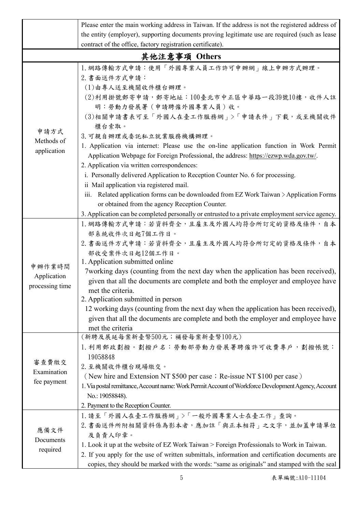|                                          | Please enter the main working address in Taiwan. If the address is not the registered address of                                                                                                                                                                                                                                                                                                                                                                                                                                                                                                    |
|------------------------------------------|-----------------------------------------------------------------------------------------------------------------------------------------------------------------------------------------------------------------------------------------------------------------------------------------------------------------------------------------------------------------------------------------------------------------------------------------------------------------------------------------------------------------------------------------------------------------------------------------------------|
|                                          | the entity (employer), supporting documents proving legitimate use are required (such as lease                                                                                                                                                                                                                                                                                                                                                                                                                                                                                                      |
|                                          | contract of the office, factory registration certificate).                                                                                                                                                                                                                                                                                                                                                                                                                                                                                                                                          |
|                                          | 其他注意事項 Others                                                                                                                                                                                                                                                                                                                                                                                                                                                                                                                                                                                       |
| 申請方式<br>Methods of<br>application        | 1. 網路傳輸方式申請:使用「外國專業人員工作許可申辦網」線上申辦方式辦理。<br>2. 書面送件方式申請:<br>(1)由專人送至機關收件櫃台辦理。<br>(2)利用掛號郵寄申請,郵寄地址:100臺北市中正區中華路一段39號10樓,收件人註<br>明:勞動力發展署(申請聘僱外國專業人員)收。<br>(3)相關申請書表可至「外國人在臺工作服務網」>「申請表件」下載,或至機關收件<br>櫃台索取。<br>3. 可親自辦理或委託私立就業服務機構辦理。<br>1. Application via internet: Please use the on-line application function in Work Permit<br>Application Webpage for Foreign Professional, the address: https://ezwp.wda.gov.tw/.<br>2. Application via written correspondences:<br>i. Personally delivered Application to Reception Counter No. 6 for processing.<br>ii Mail application via registered mail.   |
|                                          | iii. Related application forms can be downloaded from EZ Work Taiwan > Application Forms<br>or obtained from the agency Reception Counter.                                                                                                                                                                                                                                                                                                                                                                                                                                                          |
|                                          | 3. Application can be completed personally or entrusted to a private employment service agency.                                                                                                                                                                                                                                                                                                                                                                                                                                                                                                     |
| 申辦作業時間<br>Application<br>processing time | 1. 網路傳輸方式申請:若資料齊全,且雇主及外國人均符合所訂定的資格及條件,自本<br>部系統收件次日起7個工作日。<br>2. 書面送件方式申請:若資料齊全,且雇主及外國人均符合所訂定的資格及條件,自本<br>部收受案件次日起12個工作日。<br>1. Application submitted online<br>7working days (counting from the next day when the application has been received),<br>given that all the documents are complete and both the employer and employee have<br>met the criteria.<br>2. Application submitted in person<br>12 working days (counting from the next day when the application has been received),<br>given that all the documents are complete and both the employer and employee have<br>met the criteria |
| 審查費繳交<br>Examination<br>fee payment      | (新聘及展延每案新臺幣500元;補發每案新臺幣100元)<br>1. 利用郵政劃撥。劃撥戶名:勞動部勞動力發展署聘僱許可收費專戶,劃撥帳號:<br>19058848<br>2. 至機關收件櫃台現場繳交。<br>(New hire and Extension NT \$500 per case; Re-issue NT \$100 per case)<br>1. Via postal remittance, Account name: Work Permit Account of Workforce Development Agency, Account<br>No.: 19058848).<br>2. Payment to the Reception Counter.                                                                                                                                                                                                                                                  |
| 應備文件<br>Documents<br>required            | 1. 請至「外國人在臺工作服務網」>「一般外國專業人士在臺工作」查詢。<br>2. 書面送件所附相關資料係為影本者,應加註「與正本相符」之文字,並加蓋申請單位<br>及負責人印章。<br>1. Look it up at the website of EZ Work Taiwan > Foreign Professionals to Work in Taiwan.<br>2. If you apply for the use of written submittals, information and certification documents are<br>copies, they should be marked with the words: "same as originals" and stamped with the seal                                                                                                                                                                                                            |